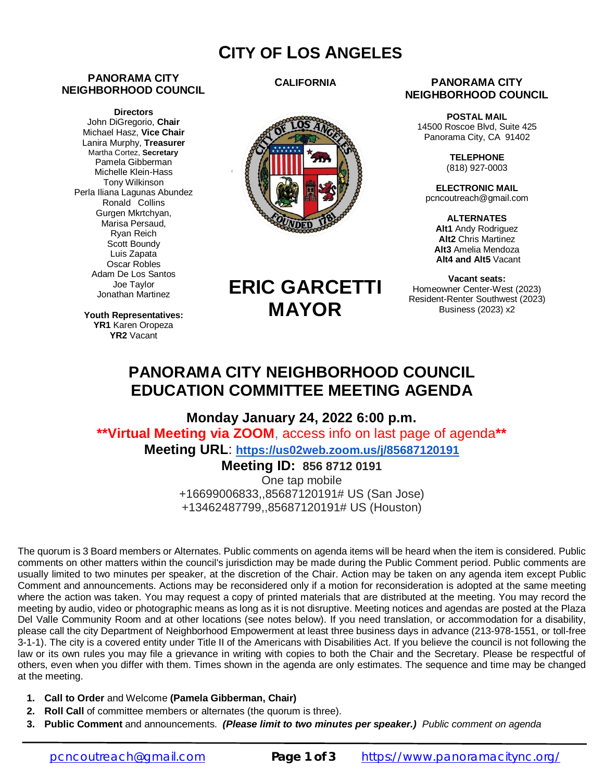## **CITY OF LOS ANGELES**

### **PANORAMA CITY NEIGHBORHOOD COUNCIL**

**Directors** John DiGregorio, **Chair** Michael Hasz, **Vice Chair** Lanira Murphy, **Treasurer** Martha Cortez, **Secretary** Pamela Gibberman Michelle Klein-Hass Tony Wilkinson Perla Iliana Lagunas Abundez Ronald Collins Gurgen Mkrtchyan, Marisa Persaud, Ryan Reich Scott Boundy Luis Zapata Oscar Robles Adam De Los Santos Joe Taylor Jonathan Martinez

**Youth Representatives: YR1** Karen Oropeza **YR2** Vacant

### **CALIFORNIA**



#### **PANORAMA CITY NEIGHBORHOOD COUNCIL**

**POSTAL MAIL** 14500 Roscoe Blvd, Suite 425 Panorama City, CA 91402

> **TELEPHONE** (818) 927-0003

**ELECTRONIC MAIL** [pcncoutreach@gmail.com](mailto:pcncoutreach@gmail.com)

**ALTERNATES Alt1** Andy Rodriguez **Alt2** Chris Martinez **Alt3** Amelia Mendoza **Alt4 and Alt5** Vacant

**Vacant seats:** Homeowner Center-West (2023) Resident-Renter Southwest (2023) Business (2023) x2

# **ERIC GARCETTI MAYOR**

## **PANORAMA CITY NEIGHBORHOOD COUNCIL EDUCATION COMMITTEE MEETING AGENDA**

**Monday January 24, 2022 6:00 p.m. \*\*Virtual Meeting via ZOOM**, access info on last page of agenda**\*\* Meeting URL**: **<https://us02web.zoom.us/j/85687120191>**

### **Meeting ID: 856 8712 0191**

One tap mobile +16699006833,,85687120191# US (San Jose) +13462487799,,85687120191# US (Houston)

The quorum is 3 Board members or Alternates. Public comments on agenda items will be heard when the item is considered. Public comments on other matters within the council's jurisdiction may be made during the Public Comment period. Public comments are usually limited to two minutes per speaker, at the discretion of the Chair. Action may be taken on any agenda item except Public Comment and announcements. Actions may be reconsidered only if a motion for reconsideration is adopted at the same meeting where the action was taken. You may request a copy of printed materials that are distributed at the meeting. You may record the meeting by audio, video or photographic means as long as it is not disruptive. Meeting notices and agendas are posted at the Plaza Del Valle Community Room and at other locations (see notes below). If you need translation, or accommodation for a disability, please call the city Department of Neighborhood Empowerment at least three business days in advance (213-978-1551, or toll-free 3-1-1). The city is a covered entity under Title II of the Americans with Disabilities Act. If you believe the council is not following the law or its own rules you may file a grievance in writing with copies to both the Chair and the Secretary. Please be respectful of others, even when you differ with them. Times shown in the agenda are only estimates. The sequence and time may be changed at the meeting.

- **1. Call to Order** and Welcome **(Pamela Gibberman, Chair)**
- **2. Roll Call** of committee members or alternates (the quorum is three).
- **3. Public Comment** and announcements.*(Please limit to two minutes per speaker.) Public comment on agenda*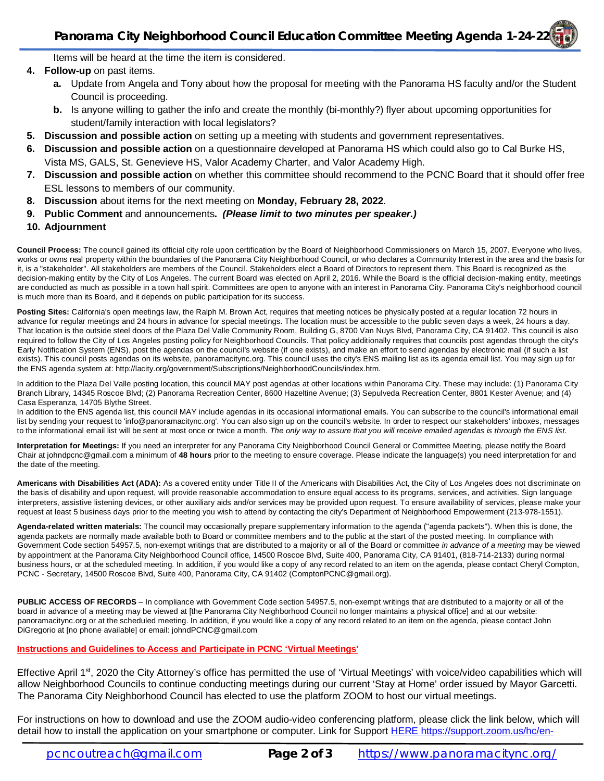### **Panorama City Neighborhood Council Education Committee Meeting Agenda 1-24-22**

Items will be heard at the time the item is considered.

- **4. Follow-up** on past items.
	- **a.** Update from Angela and Tony about how the proposal for meeting with the Panorama HS faculty and/or the Student Council is proceeding.
	- **b.** Is anyone willing to gather the info and create the monthly (bi-monthly?) flyer about upcoming opportunities for student/family interaction with local legislators?
- **5. Discussion and possible action** on setting up a meeting with students and government representatives.
- **6. Discussion and possible action** on a questionnaire developed at Panorama HS which could also go to Cal Burke HS, Vista MS, GALS, St. Genevieve HS, Valor Academy Charter, and Valor Academy High.
- **7. Discussion and possible action** on whether this committee should recommend to the PCNC Board that it should offer free ESL lessons to members of our community.
- **8. Discussion** about items for the next meeting on **Monday, February 28, 2022**.
- **9. Public Comment** and announcements**.** *(Please limit to two minutes per speaker.)*
- **10. Adjournment**

**Council Process:** The council gained its official city role upon certification by the Board of Neighborhood Commissioners on March 15, 2007. Everyone who lives, works or owns real property within the boundaries of the Panorama City Neighborhood Council, or who declares a Community Interest in the area and the basis for it, is a "stakeholder". All stakeholders are members of the Council. Stakeholders elect a Board of Directors to represent them. This Board is recognized as the decision-making entity by the City of Los Angeles. The current Board was elected on April 2, 2016. While the Board is the official decision-making entity, meetings are conducted as much as possible in a town hall spirit. Committees are open to anyone with an interest in Panorama City. Panorama City's neighborhood council is much more than its Board, and it depends on public participation for its success.

Posting Sites: California's open meetings law, the Ralph M. Brown Act, requires that meeting notices be physically posted at a regular location 72 hours in advance for regular meetings and 24 hours in advance for special meetings. The location must be accessible to the public seven days a week, 24 hours a day. That location is the outside steel doors of the Plaza Del Valle Community Room, Building G, 8700 Van Nuys Blvd, Panorama City, CA 91402. This council is also required to follow the City of Los Angeles posting policy for Neighborhood Councils. That policy additionally requires that councils post agendas through the city's Early Notification System (ENS), post the agendas on the council's website (if one exists), and make an effort to send agendas by electronic mail (if such a list exists). This council posts agendas on its website, panoramacitync.org. This council uses the city's ENS mailing list as its agenda email list. You may sign up for the ENS agenda system at:<http://lacity.org/government/Subscriptions/NeighborhoodCouncils/index.htm.>

In addition to the Plaza Del Valle posting location, this council MAY post agendas at other locations within Panorama City. These may include: (1) Panorama City Branch Library, 14345 Roscoe Blvd; (2) Panorama Recreation Center, 8600 Hazeltine Avenue; (3) Sepulveda Recreation Center, 8801 Kester Avenue; and (4) Casa Esperanza, 14705 Blythe Street.

In addition to the ENS agenda list, this council MAY include agendas in its occasional informational emails. You can subscribe to the council's informational email list by sending your request to ['info@panoramacitync.org'.](mailto:) You can also sign up on the council's website. In order to respect our stakeholders' inboxes, messages to the informational email list will be sent at most once or twice a month. *The only way to assure that you will receive emailed agendas is through the ENS list.* 

**Interpretation for Meetings:** If you need an interpreter for any Panorama City Neighborhood Council General or Committee Meeting, please notify the Board Chair at [johndpcnc@gmail.com](mailto:johndpcnc@gmail.com) a minimum of **48 hours** prior to the meeting to ensure coverage. Please indicate the language(s) you need interpretation for and the date of the meeting.

**Americans with Disabilities Act (ADA):** As a covered entity under Title II of the Americans with Disabilities Act, the City of Los Angeles does not discriminate on the basis of disability and upon request, will provide reasonable accommodation to ensure equal access to its programs, services, and activities. Sign language interpreters, assistive listening devices, or other auxiliary aids and/or services may be provided upon request. To ensure availability of services, please make your request at least 5 business days prior to the meeting you wish to attend by contacting the city's Department of Neighborhood Empowerment (213-978-1551).

**Agenda-related written materials:** The council may occasionally prepare supplementary information to the agenda ("agenda packets"). When this is done, the agenda packets are normally made available both to Board or committee members and to the public at the start of the posted meeting. In compliance with Government Code section 54957.5, non-exempt writings that are distributed to a majority or all of the Board or committee *in advance of a meeting* may be viewed by appointment at the Panorama City Neighborhood Council office, 14500 Roscoe Blvd, Suite 400, Panorama City, CA 91401, (818-714-2133) during normal business hours, or at the scheduled meeting. In addition, if you would like a copy of any record related to an item on the agenda, please contact Cheryl Compton, PCNC - Secretary, 14500 Roscoe Blvd, Suite 400, Panorama City, CA 91402 [\(ComptonPCNC@gmail.org\).](mailto:(ComptonPCNC@gmail.org).) 

**PUBLIC ACCESS OF RECORDS** – In compliance with Government Code section 54957.5, non-exempt writings that are distributed to a majority or all of the board in advance of a meeting may be viewed at [the Panorama City Neighborhood Council no longer maintains a physical office] and at our website: panoramacitync.org or at the scheduled meeting. In addition, if you would like a copy of any record related to an item on the agenda, please contact John DiGregorio at [no phone available] or email: [johndPCNC@gmail.com](mailto:johndPCNC@gmail.com)

**Instructions and Guidelines to Access and Participate in PCNC 'Virtual Meetings'** 

Effective April 1<sup>st</sup>, 2020 the City Attorney's office has permitted the use of 'Virtual Meetings' with voice/video capabilities which will allow Neighborhood Councils to continue conducting meetings during our current 'Stay at Home' order issued by Mayor Garcetti. The Panorama City Neighborhood Council has elected to use the platform ZOOM to host our virtual meetings.

For instructions on how to download and use the ZOOM audio-video conferencing platform, please click the link below, which will detail how to install the application on your smartphone or computer. Link for Support HERE <https://support.zoom.us/hc/en->